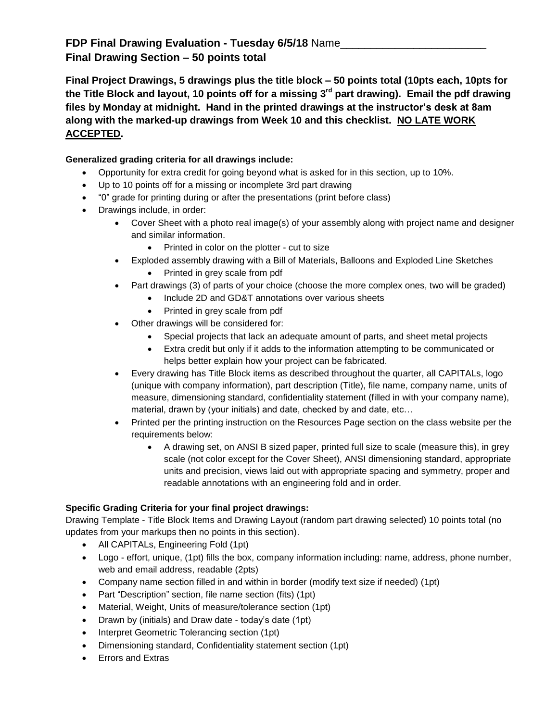## **FDP Final Drawing Evaluation - Tuesday 6/5/18** Name\_\_\_\_\_\_\_\_\_\_\_\_\_\_\_\_\_\_\_\_\_\_\_\_ **Final Drawing Section – 50 points total**

**Final Project Drawings, 5 drawings plus the title block – 50 points total (10pts each, 10pts for the Title Block and layout, 10 points off for a missing 3rd part drawing). Email the pdf drawing files by Monday at midnight. Hand in the printed drawings at the instructor's desk at 8am along with the marked-up drawings from Week 10 and this checklist. NO LATE WORK ACCEPTED.**

## **Generalized grading criteria for all drawings include:**

- Opportunity for extra credit for going beyond what is asked for in this section, up to 10%.
- Up to 10 points off for a missing or incomplete 3rd part drawing
- "0" grade for printing during or after the presentations (print before class)
- Drawings include, in order:
	- Cover Sheet with a photo real image(s) of your assembly along with project name and designer and similar information.
		- Printed in color on the plotter cut to size
	- Exploded assembly drawing with a Bill of Materials, Balloons and Exploded Line Sketches
		- Printed in grey scale from pdf
	- Part drawings (3) of parts of your choice (choose the more complex ones, two will be graded)
		- Include 2D and GD&T annotations over various sheets
		- Printed in grey scale from pdf
	- Other drawings will be considered for:
		- Special projects that lack an adequate amount of parts, and sheet metal projects
		- Extra credit but only if it adds to the information attempting to be communicated or helps better explain how your project can be fabricated.
	- Every drawing has Title Block items as described throughout the quarter, all CAPITALs, logo (unique with company information), part description (Title), file name, company name, units of measure, dimensioning standard, confidentiality statement (filled in with your company name), material, drawn by (your initials) and date, checked by and date, etc…
	- Printed per the printing instruction on the Resources Page section on the class website per the requirements below:
		- A drawing set, on ANSI B sized paper, printed full size to scale (measure this), in grey scale (not color except for the Cover Sheet), ANSI dimensioning standard, appropriate units and precision, views laid out with appropriate spacing and symmetry, proper and readable annotations with an engineering fold and in order.

## **Specific Grading Criteria for your final project drawings:**

Drawing Template - Title Block Items and Drawing Layout (random part drawing selected) 10 points total (no updates from your markups then no points in this section).

- All CAPITALs, Engineering Fold (1pt)
- Logo effort, unique, (1pt) fills the box, company information including: name, address, phone number, web and email address, readable (2pts)
- Company name section filled in and within in border (modify text size if needed) (1pt)
- Part "Description" section, file name section (fits) (1pt)
- Material, Weight, Units of measure/tolerance section (1pt)
- Drawn by (initials) and Draw date today's date (1pt)
- Interpret Geometric Tolerancing section (1pt)
- Dimensioning standard, Confidentiality statement section (1pt)
- Errors and Extras